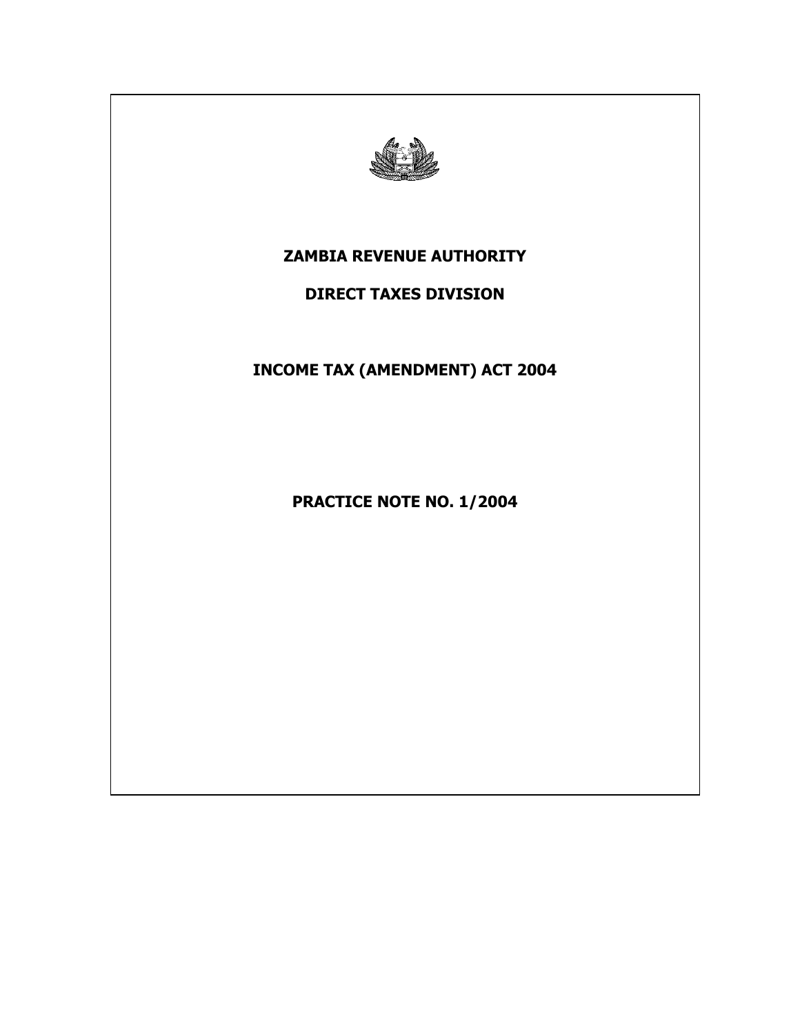

# **ZAMBIA REVENUE AUTHORITY**

## **DIRECT TAXES DIVISION**

**INCOME TAX (AMENDMENT) ACT 2004** 

**PRACTICE NOTE NO. 1/2004**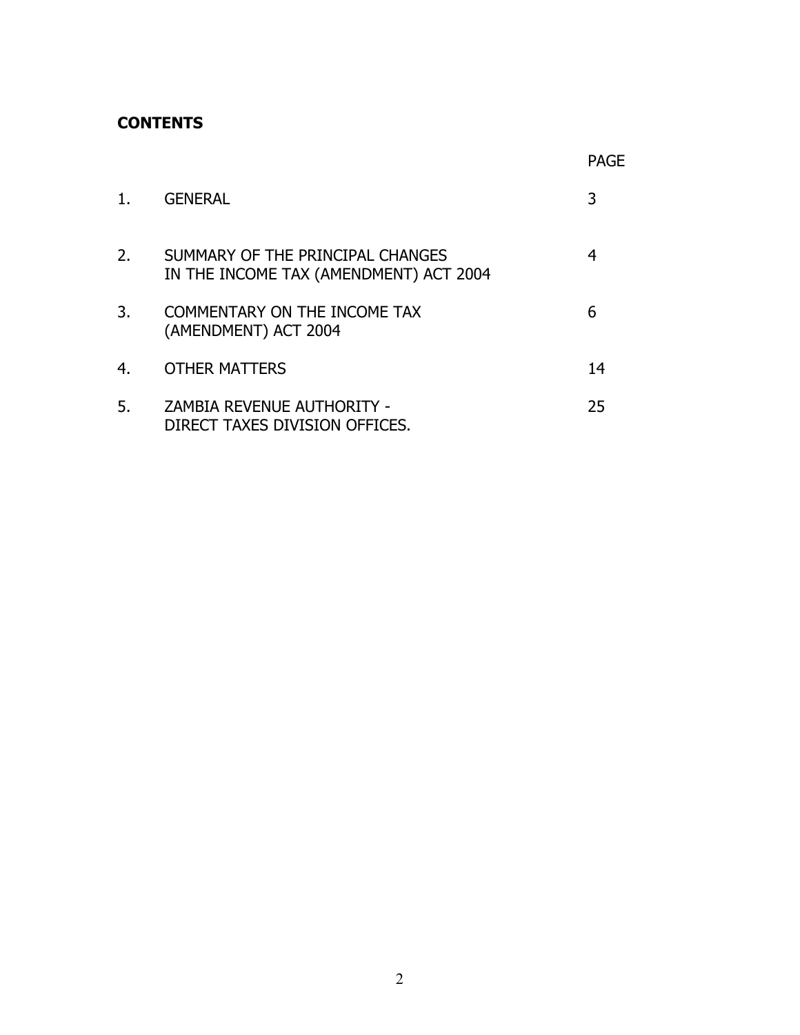## **CONTENTS**

|    |                                                                            | PAGF |
|----|----------------------------------------------------------------------------|------|
| 1. | <b>GENERAL</b>                                                             | 3    |
| 2. | SUMMARY OF THE PRINCIPAL CHANGES<br>IN THE INCOME TAX (AMENDMENT) ACT 2004 | 4    |
| 3. | <b>COMMENTARY ON THE INCOME TAX</b><br>(AMENDMENT) ACT 2004                | 6    |
| 4. | <b>OTHER MATTERS</b>                                                       | 14   |
| 5. | ZAMBIA REVENUE AUTHORITY -<br>DIRECT TAXES DIVISION OFFICES.               | 25   |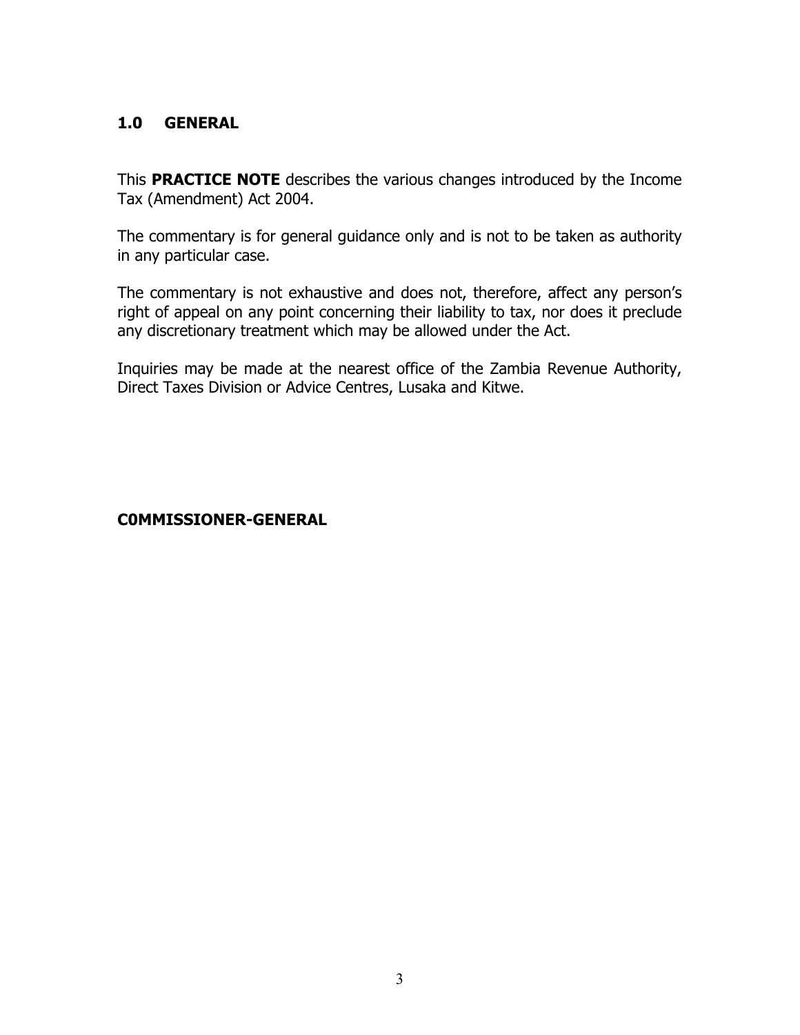## **1.0 GENERAL**

This **PRACTICE NOTE** describes the various changes introduced by the Income Tax (Amendment) Act 2004.

The commentary is for general guidance only and is not to be taken as authority in any particular case.

The commentary is not exhaustive and does not, therefore, affect any person's right of appeal on any point concerning their liability to tax, nor does it preclude any discretionary treatment which may be allowed under the Act.

Inquiries may be made at the nearest office of the Zambia Revenue Authority, Direct Taxes Division or Advice Centres, Lusaka and Kitwe.

## **C0MMISSIONER-GENERAL**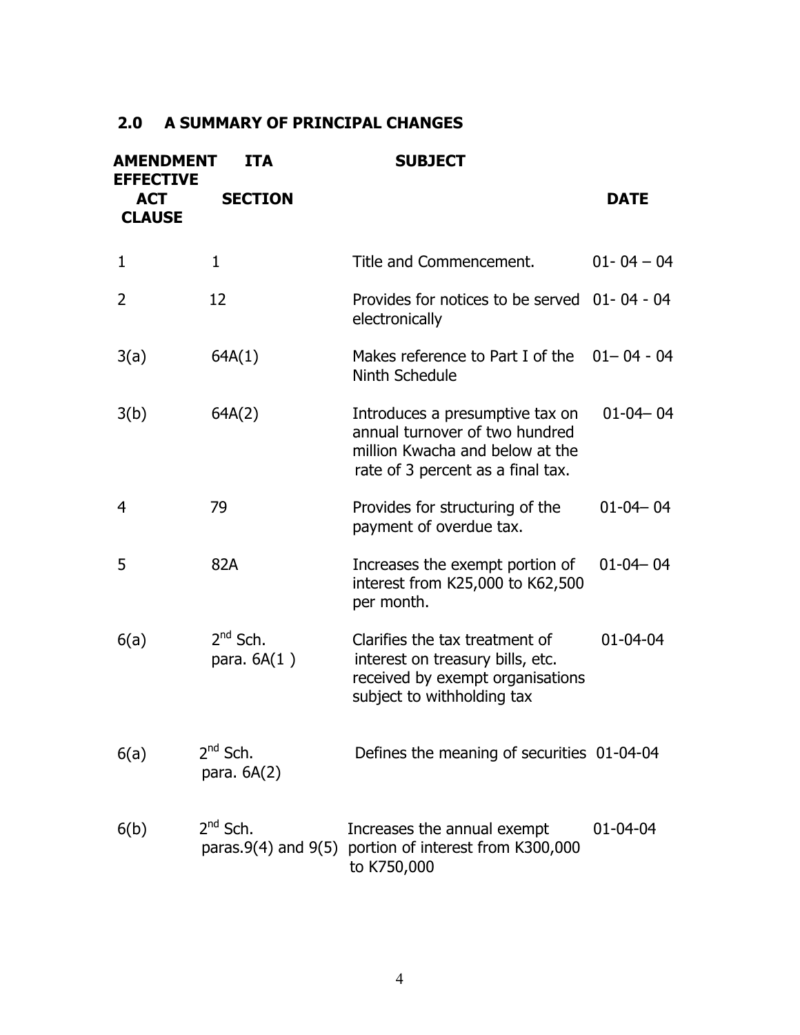## **2.0 A SUMMARY OF PRINCIPAL CHANGES**

| <b>AMENDMENT</b><br><b>EFFECTIVE</b> | <b>ITA</b>                     | <b>SUBJECT</b>                                                                                                                            |                |
|--------------------------------------|--------------------------------|-------------------------------------------------------------------------------------------------------------------------------------------|----------------|
| <b>ACT</b><br><b>CLAUSE</b>          | <b>SECTION</b>                 |                                                                                                                                           | <b>DATE</b>    |
| 1                                    | $\mathbf{1}$                   | Title and Commencement.                                                                                                                   | $01 - 04 - 04$ |
| 2                                    | 12                             | Provides for notices to be served 01-04-04<br>electronically                                                                              |                |
| 3(a)                                 | 64A(1)                         | Makes reference to Part I of the $01 - 04 - 04$<br>Ninth Schedule                                                                         |                |
| 3(b)                                 | 64A(2)                         | Introduces a presumptive tax on<br>annual turnover of two hundred<br>million Kwacha and below at the<br>rate of 3 percent as a final tax. | $01 - 04 - 04$ |
| 4                                    | 79                             | Provides for structuring of the<br>payment of overdue tax.                                                                                | $01 - 04 - 04$ |
| 5                                    | 82A                            | Increases the exempt portion of<br>interest from K25,000 to K62,500<br>per month.                                                         | $01 - 04 - 04$ |
| 6(a)                                 | $2^{nd}$ Sch.<br>para. $6A(1)$ | Clarifies the tax treatment of<br>interest on treasury bills, etc.<br>received by exempt organisations<br>subject to withholding tax      | $01 - 04 - 04$ |
| 6(a)                                 | $2^{nd}$ Sch.<br>para. $6A(2)$ | Defines the meaning of securities 01-04-04                                                                                                |                |
| 6(b)                                 | $2^{nd}$ Sch.                  | Increases the annual exempt<br>paras.9(4) and 9(5) portion of interest from K300,000<br>to K750,000                                       | $01 - 04 - 04$ |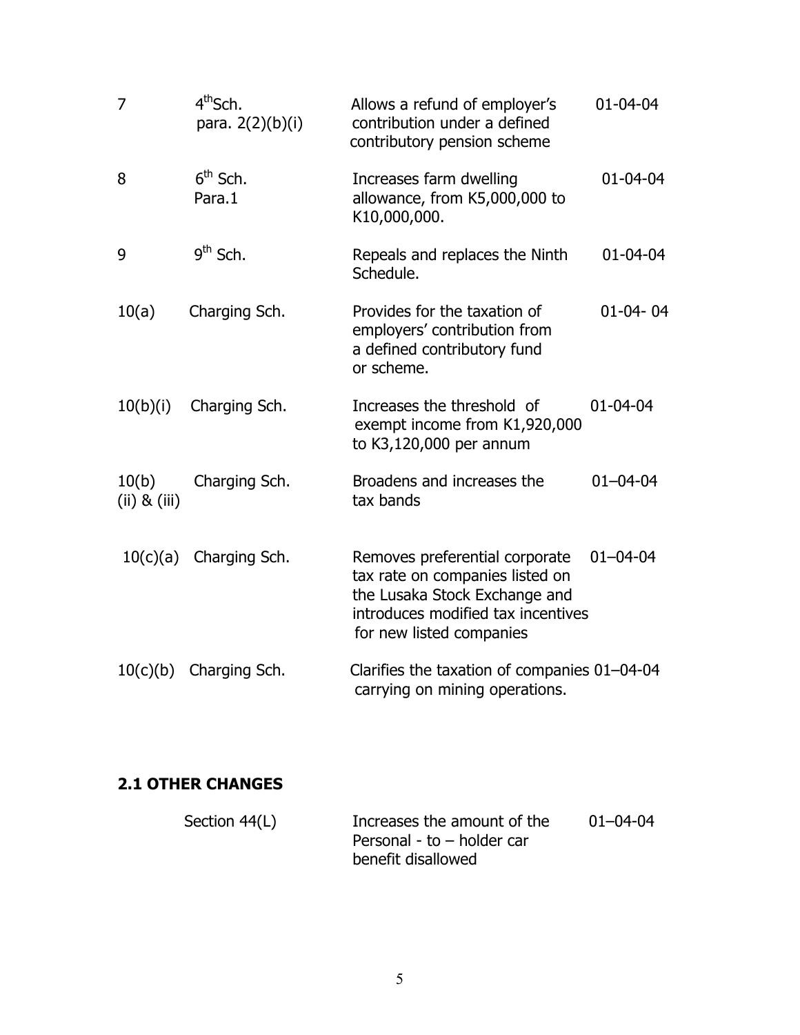| $\overline{7}$            | 4 <sup>th</sup> Sch.<br>para. 2(2)(b)(i) | Allows a refund of employer's<br>contribution under a defined<br>contributory pension scheme                                                                         | $01 - 04 - 04$ |
|---------------------------|------------------------------------------|----------------------------------------------------------------------------------------------------------------------------------------------------------------------|----------------|
| 8                         | $6th$ Sch.<br>Para.1                     | Increases farm dwelling<br>allowance, from K5,000,000 to<br>K10,000,000.                                                                                             | $01 - 04 - 04$ |
| 9                         | $9th$ Sch.                               | Repeals and replaces the Ninth<br>Schedule.                                                                                                                          | $01 - 04 - 04$ |
| 10(a)                     | Charging Sch.                            | Provides for the taxation of<br>employers' contribution from<br>a defined contributory fund<br>or scheme.                                                            | $01 - 04 - 04$ |
| 10(b)(i)                  | Charging Sch.                            | Increases the threshold of<br>exempt income from K1,920,000<br>to K3,120,000 per annum                                                                               | $01 - 04 - 04$ |
| 10(b)<br>$(ii)$ & $(iii)$ | Charging Sch.                            | Broadens and increases the<br>tax bands                                                                                                                              | $01 - 04 - 04$ |
| 10(c)(a)                  | Charging Sch.                            | Removes preferential corporate<br>tax rate on companies listed on<br>the Lusaka Stock Exchange and<br>introduces modified tax incentives<br>for new listed companies | $01 - 04 - 04$ |
| 10(c)(b)                  | Charging Sch.                            | Clarifies the taxation of companies 01-04-04<br>carrying on mining operations.                                                                                       |                |

# **2.1 OTHER CHANGES**

| Section 44(L) | Increases the amount of the | 01-04-04 |
|---------------|-----------------------------|----------|
|               | Personal - to - holder car  |          |
|               | benefit disallowed          |          |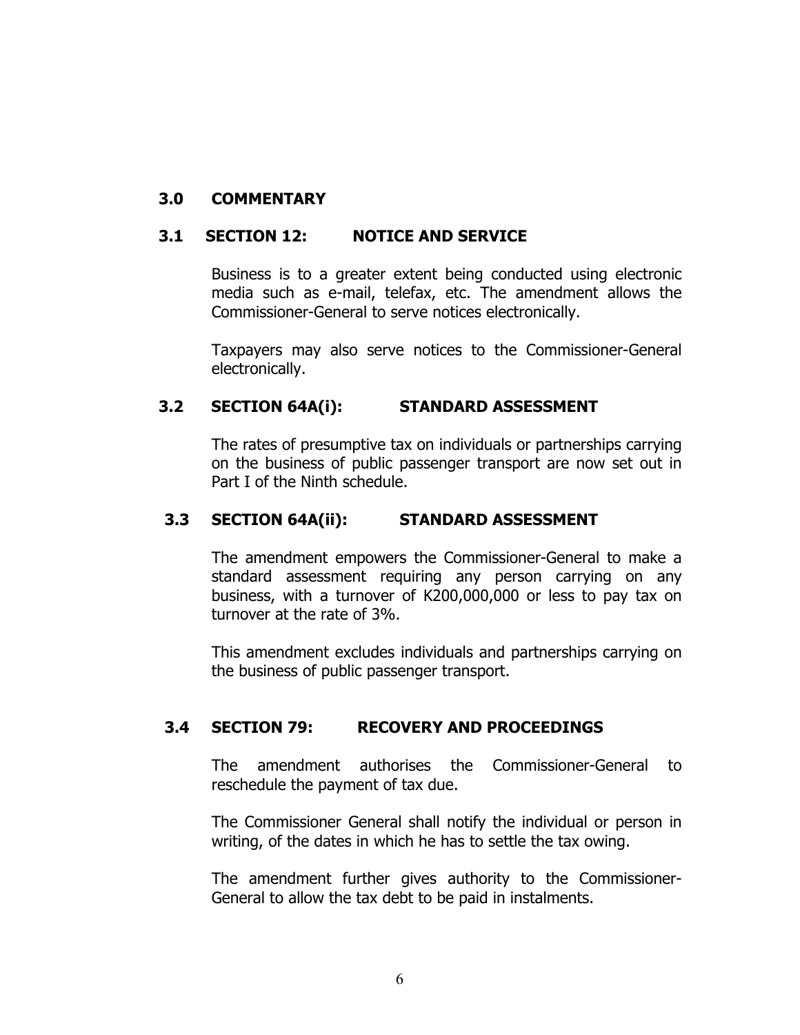### **3.0 COMMENTARY**

#### **3.1 SECTION 12: NOTICE AND SERVICE**

Business is to a greater extent being conducted using electronic media such as e-mail, telefax, etc. The amendment allows the Commissioner-General to serve notices electronically.

Taxpayers may also serve notices to the Commissioner-General electronically.

#### **3.2 SECTION 64A(i): STANDARD ASSESSMENT**

The rates of presumptive tax on individuals or partnerships carrying on the business of public passenger transport are now set out in Part I of the Ninth schedule.

#### **3.3 SECTION 64A(ii): STANDARD ASSESSMENT**

The amendment empowers the Commissioner-General to make a standard assessment requiring any person carrying on any business, with a turnover of K200,000,000 or less to pay tax on turnover at the rate of 3%.

This amendment excludes individuals and partnerships carrying on the business of public passenger transport.

## **3.4 SECTION 79: RECOVERY AND PROCEEDINGS**

The amendment authorises the Commissioner-General to reschedule the payment of tax due.

The Commissioner General shall notify the individual or person in writing, of the dates in which he has to settle the tax owing.

The amendment further gives authority to the Commissioner-General to allow the tax debt to be paid in instalments.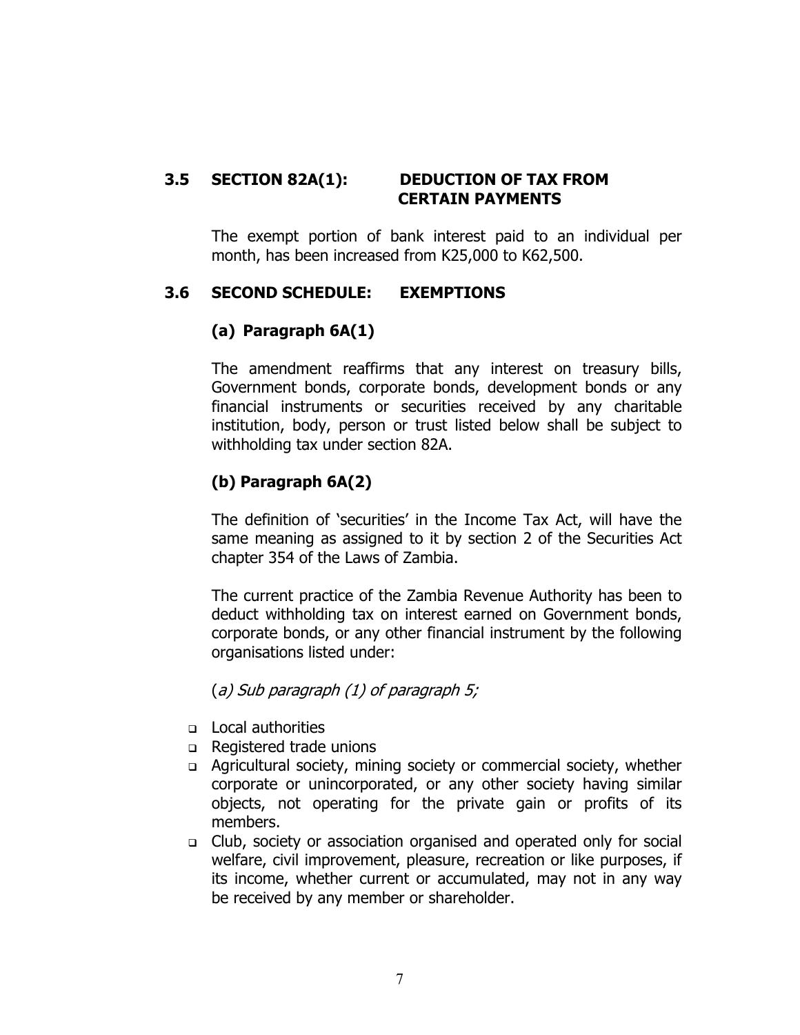#### **3.5 SECTION 82A(1): DEDUCTION OF TAX FROM CERTAIN PAYMENTS**

The exempt portion of bank interest paid to an individual per month, has been increased from K25,000 to K62,500.

## **3.6 SECOND SCHEDULE: EXEMPTIONS**

#### **(a) Paragraph 6A(1)**

The amendment reaffirms that any interest on treasury bills, Government bonds, corporate bonds, development bonds or any financial instruments or securities received by any charitable institution, body, person or trust listed below shall be subject to withholding tax under section 82A.

#### **(b) Paragraph 6A(2)**

The definition of 'securities' in the Income Tax Act, will have the same meaning as assigned to it by section 2 of the Securities Act chapter 354 of the Laws of Zambia.

The current practice of the Zambia Revenue Authority has been to deduct withholding tax on interest earned on Government bonds, corporate bonds, or any other financial instrument by the following organisations listed under:

#### (a) Sub paragraph (1) of paragraph 5;

- Local authorities
- □ Registered trade unions
- Agricultural society, mining society or commercial society, whether corporate or unincorporated, or any other society having similar objects, not operating for the private gain or profits of its members.
- Club, society or association organised and operated only for social welfare, civil improvement, pleasure, recreation or like purposes, if its income, whether current or accumulated, may not in any way be received by any member or shareholder.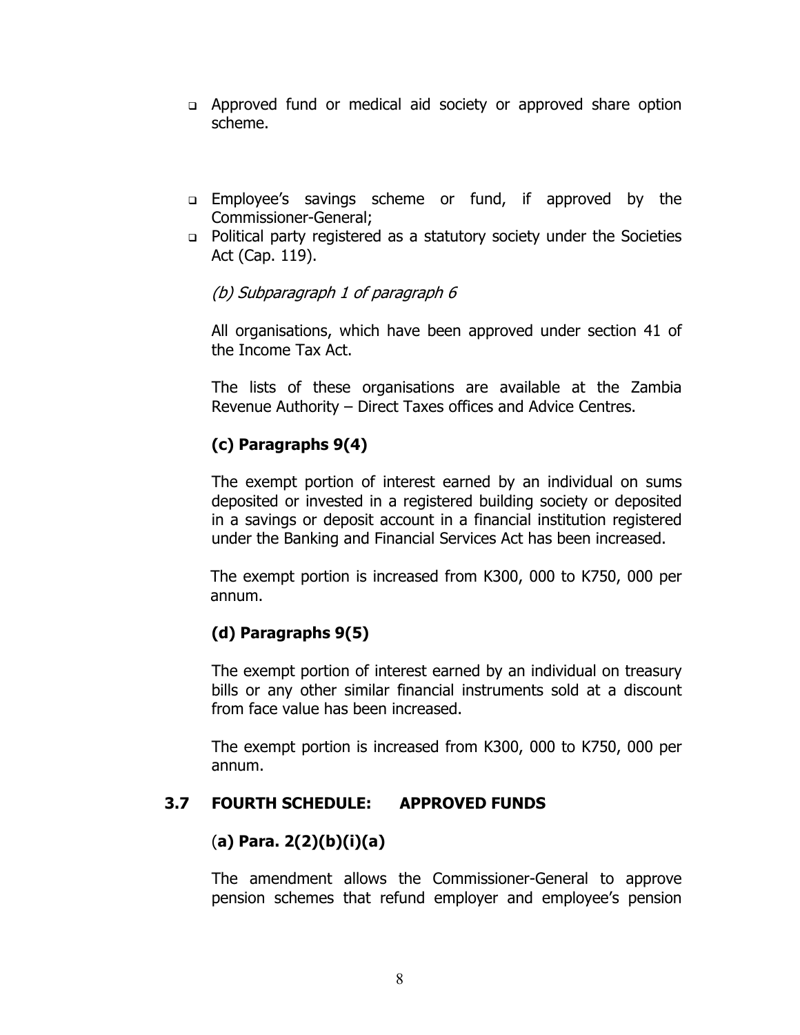- Approved fund or medical aid society or approved share option scheme.
- Employee's savings scheme or fund, if approved by the Commissioner-General;
- Political party registered as a statutory society under the Societies Act (Cap. 119).

## (b) Subparagraph 1 of paragraph 6

All organisations, which have been approved under section 41 of the Income Tax Act.

The lists of these organisations are available at the Zambia Revenue Authority – Direct Taxes offices and Advice Centres.

# **(c) Paragraphs 9(4)**

The exempt portion of interest earned by an individual on sums deposited or invested in a registered building society or deposited in a savings or deposit account in a financial institution registered under the Banking and Financial Services Act has been increased.

The exempt portion is increased from K300, 000 to K750, 000 per annum.

## **(d) Paragraphs 9(5)**

The exempt portion of interest earned by an individual on treasury bills or any other similar financial instruments sold at a discount from face value has been increased.

The exempt portion is increased from K300, 000 to K750, 000 per annum.

## **3.7 FOURTH SCHEDULE: APPROVED FUNDS**

## (**a) Para. 2(2)(b)(i)(a)**

The amendment allows the Commissioner-General to approve pension schemes that refund employer and employee's pension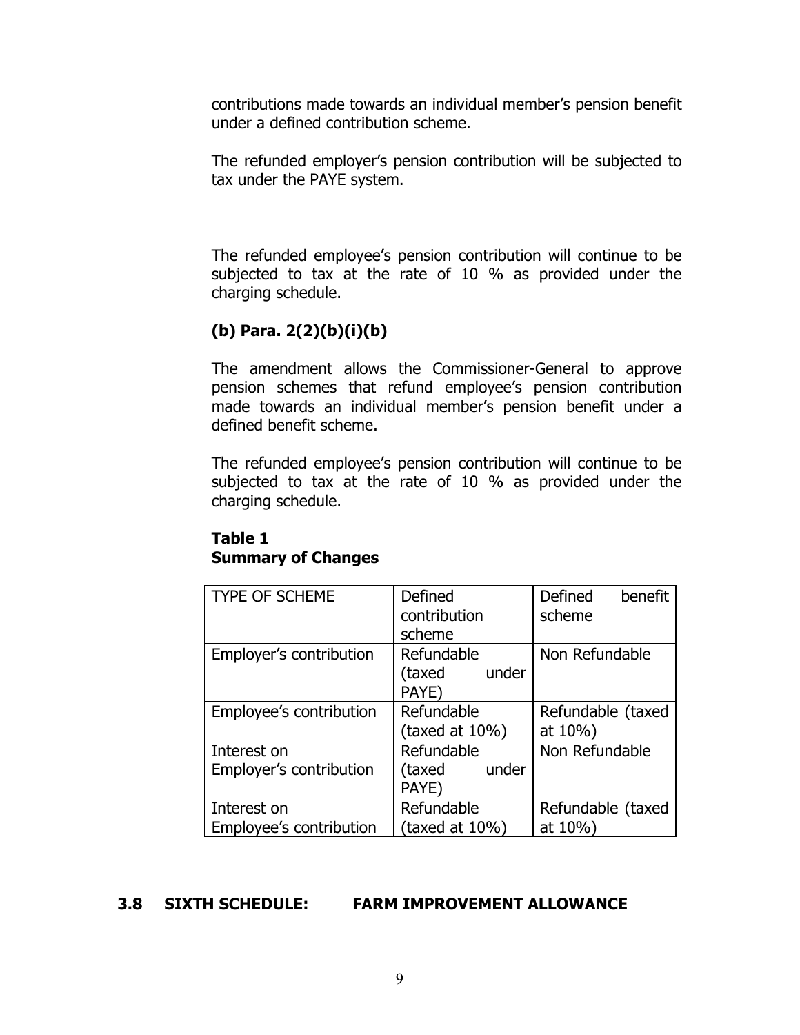contributions made towards an individual member's pension benefit under a defined contribution scheme.

The refunded employer's pension contribution will be subjected to tax under the PAYE system.

The refunded employee's pension contribution will continue to be subjected to tax at the rate of 10 % as provided under the charging schedule.

# **(b) Para. 2(2)(b)(i)(b)**

The amendment allows the Commissioner-General to approve pension schemes that refund employee's pension contribution made towards an individual member's pension benefit under a defined benefit scheme.

The refunded employee's pension contribution will continue to be subjected to tax at the rate of 10 % as provided under the charging schedule.

## **Table 1 Summary of Changes**

| <b>TYPE OF SCHEME</b>                  | Defined<br>contribution<br>scheme      | Defined<br>benefit<br>scheme |
|----------------------------------------|----------------------------------------|------------------------------|
| Employer's contribution                | Refundable<br>(taxed<br>under<br>PAYE) | Non Refundable               |
| Employee's contribution                | Refundable<br>(taxed at $10\%$ )       | Refundable (taxed<br>at 10%) |
| Interest on<br>Employer's contribution | Refundable<br>under<br>(taxed<br>PAYE) | Non Refundable               |
| Interest on<br>Employee's contribution | Refundable<br>(taxed at $10\%)$        | Refundable (taxed<br>at 10%) |

## **3.8 SIXTH SCHEDULE: FARM IMPROVEMENT ALLOWANCE**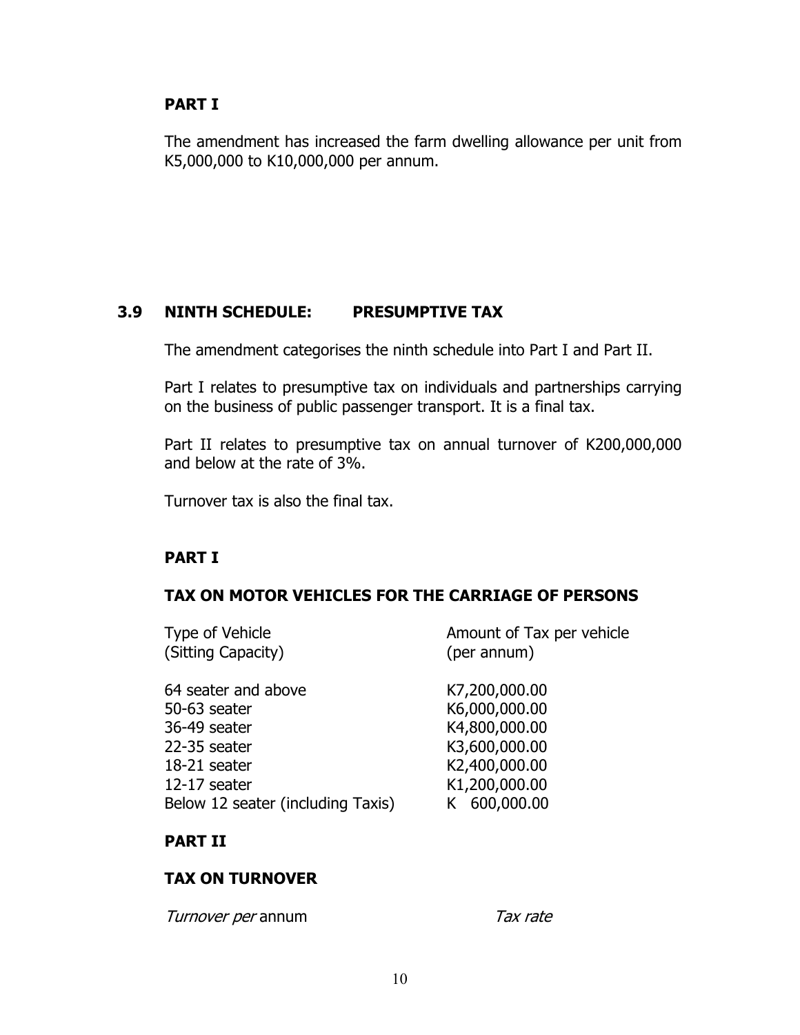## **PART I**

The amendment has increased the farm dwelling allowance per unit from K5,000,000 to K10,000,000 per annum.

## **3.9 NINTH SCHEDULE: PRESUMPTIVE TAX**

The amendment categorises the ninth schedule into Part I and Part II.

Part I relates to presumptive tax on individuals and partnerships carrying on the business of public passenger transport. It is a final tax.

Part II relates to presumptive tax on annual turnover of K200,000,000 and below at the rate of 3%.

Turnover tax is also the final tax.

## **PART I**

## **TAX ON MOTOR VEHICLES FOR THE CARRIAGE OF PERSONS**

| Type of Vehicle<br>(Sitting Capacity) | Amount of Tax per vehicle<br>(per annum) |
|---------------------------------------|------------------------------------------|
| 64 seater and above                   | K7,200,000.00                            |
| 50-63 seater                          | K6,000,000.00                            |
| 36-49 seater                          | K4,800,000.00                            |
| 22-35 seater                          | K3,600,000.00                            |
| 18-21 seater                          | K2,400,000.00                            |
| 12-17 seater                          | K1,200,000.00                            |
| Below 12 seater (including Taxis)     | K 600,000.00                             |

## **PART II**

## **TAX ON TURNOVER**

Turnover per annum Tax rate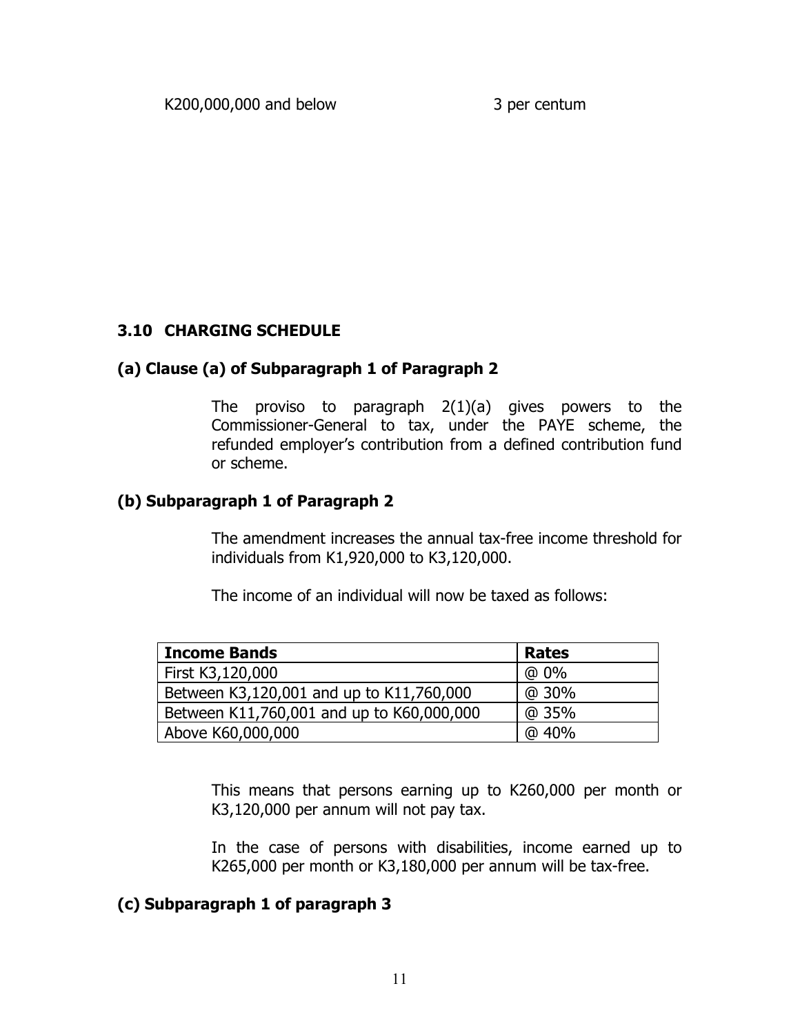## **3.10 CHARGING SCHEDULE**

## **(a) Clause (a) of Subparagraph 1 of Paragraph 2**

The proviso to paragraph 2(1)(a) gives powers to the Commissioner-General to tax, under the PAYE scheme, the refunded employer's contribution from a defined contribution fund or scheme.

## **(b) Subparagraph 1 of Paragraph 2**

The amendment increases the annual tax-free income threshold for individuals from K1,920,000 to K3,120,000.

The income of an individual will now be taxed as follows:

| <b>Income Bands</b>                       | <b>Rates</b> |
|-------------------------------------------|--------------|
| First K3,120,000                          | $@0\%$       |
| Between K3,120,001 and up to K11,760,000  | @ 30%        |
| Between K11,760,001 and up to K60,000,000 | @ 35%        |
| Above K60,000,000                         | @ 40%        |

This means that persons earning up to K260,000 per month or K3,120,000 per annum will not pay tax.

In the case of persons with disabilities, income earned up to K265,000 per month or K3,180,000 per annum will be tax-free.

## **(c) Subparagraph 1 of paragraph 3**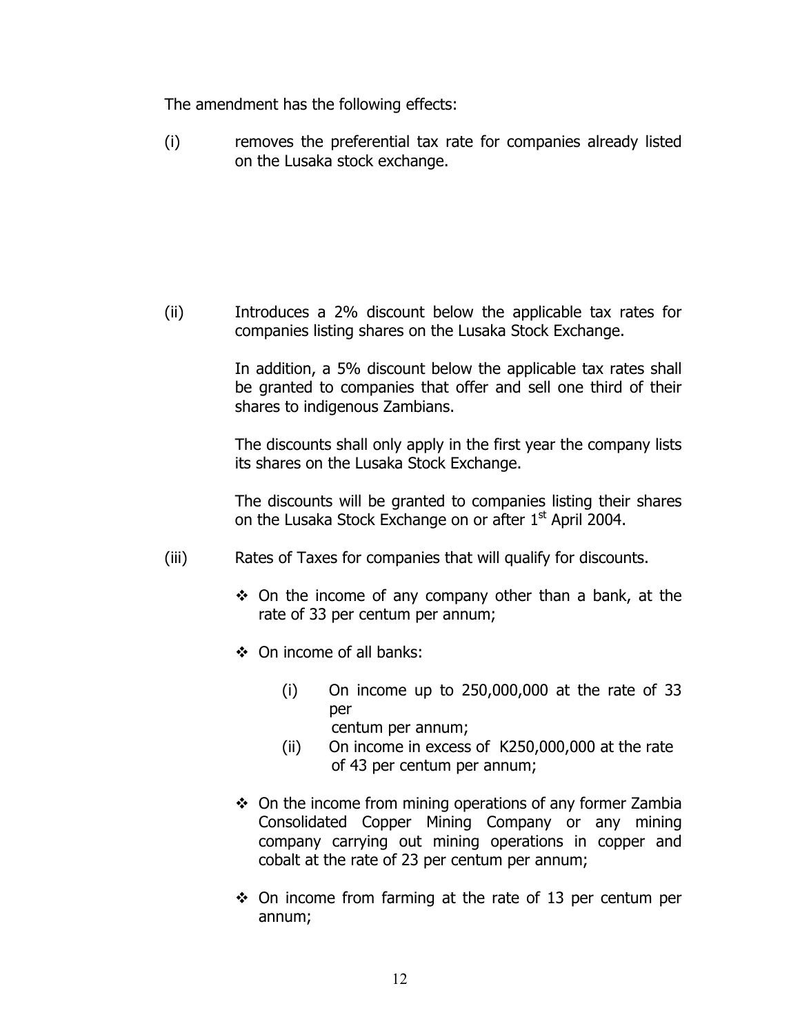The amendment has the following effects:

(i) removes the preferential tax rate for companies already listed on the Lusaka stock exchange.

(ii) Introduces a 2% discount below the applicable tax rates for companies listing shares on the Lusaka Stock Exchange.

> In addition, a 5% discount below the applicable tax rates shall be granted to companies that offer and sell one third of their shares to indigenous Zambians.

> The discounts shall only apply in the first year the company lists its shares on the Lusaka Stock Exchange.

> The discounts will be granted to companies listing their shares on the Lusaka Stock Exchange on or after 1<sup>st</sup> April 2004.

- (iii) Rates of Taxes for companies that will qualify for discounts.
	- $\div$  On the income of any company other than a bank, at the rate of 33 per centum per annum;
	- On income of all banks:
		- $(i)$  On income up to 250,000,000 at the rate of 33 per centum per annum;
		- (ii) On income in excess of K250,000,000 at the rate of 43 per centum per annum;
	- $\div$  On the income from mining operations of any former Zambia Consolidated Copper Mining Company or any mining company carrying out mining operations in copper and cobalt at the rate of 23 per centum per annum;
	- $\div$  On income from farming at the rate of 13 per centum per annum;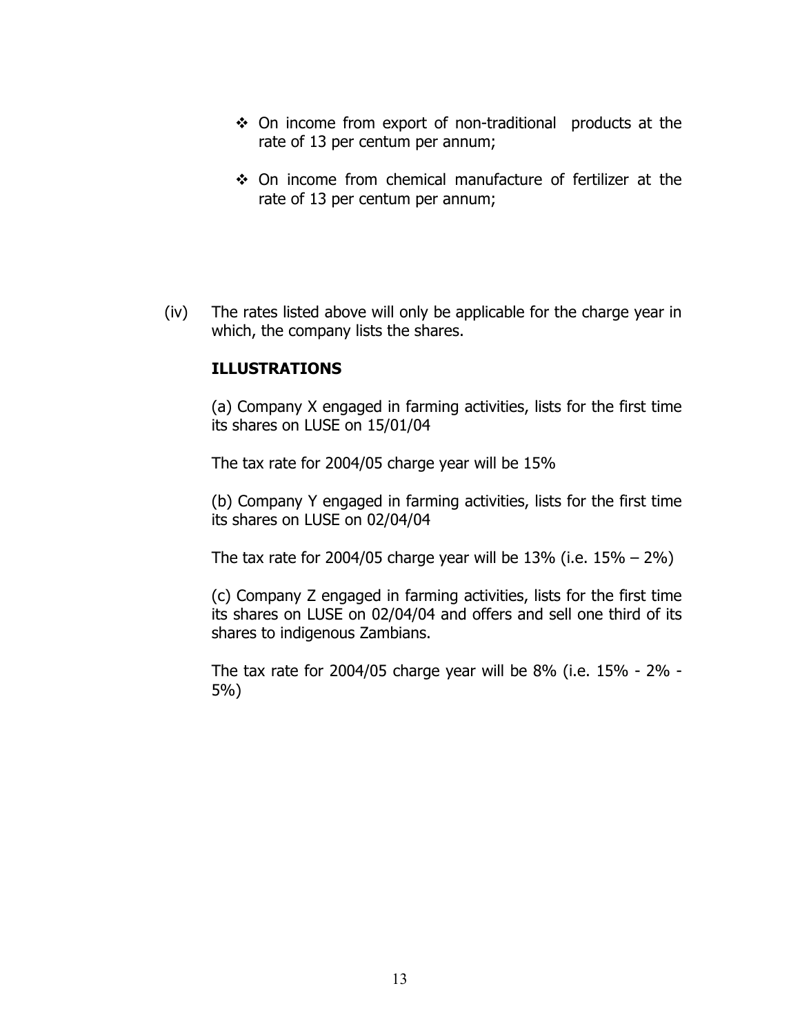- On income from export of non-traditional products at the rate of 13 per centum per annum;
- On income from chemical manufacture of fertilizer at the rate of 13 per centum per annum;
- (iv) The rates listed above will only be applicable for the charge year in which, the company lists the shares.

#### **ILLUSTRATIONS**

(a) Company X engaged in farming activities, lists for the first time its shares on LUSE on 15/01/04

The tax rate for 2004/05 charge year will be 15%

(b) Company Y engaged in farming activities, lists for the first time its shares on LUSE on 02/04/04

The tax rate for 2004/05 charge year will be 13% (i.e.  $15\% - 2\%)$ 

(c) Company Z engaged in farming activities, lists for the first time its shares on LUSE on 02/04/04 and offers and sell one third of its shares to indigenous Zambians.

The tax rate for 2004/05 charge year will be 8% (i.e. 15% - 2% - 5%)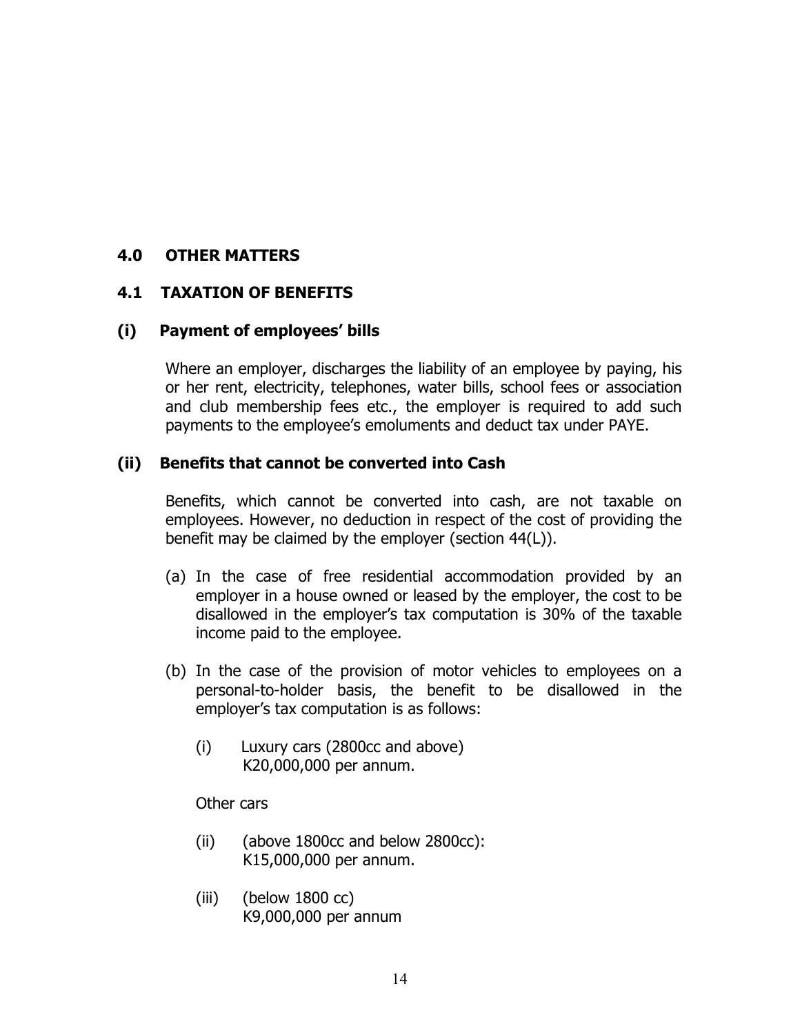### **4.0 OTHER MATTERS**

#### **4.1 TAXATION OF BENEFITS**

#### **(i) Payment of employees' bills**

Where an employer, discharges the liability of an employee by paying, his or her rent, electricity, telephones, water bills, school fees or association and club membership fees etc., the employer is required to add such payments to the employee's emoluments and deduct tax under PAYE.

#### **(ii) Benefits that cannot be converted into Cash**

Benefits, which cannot be converted into cash, are not taxable on employees. However, no deduction in respect of the cost of providing the benefit may be claimed by the employer (section 44(L)).

- (a) In the case of free residential accommodation provided by an employer in a house owned or leased by the employer, the cost to be disallowed in the employer's tax computation is 30% of the taxable income paid to the employee.
- (b) In the case of the provision of motor vehicles to employees on a personal-to-holder basis, the benefit to be disallowed in the employer's tax computation is as follows:
	- (i) Luxury cars (2800cc and above) K20,000,000 per annum.

Other cars

- (ii) (above 1800cc and below 2800cc): K15,000,000 per annum.
- (iii) (below 1800 cc) K9,000,000 per annum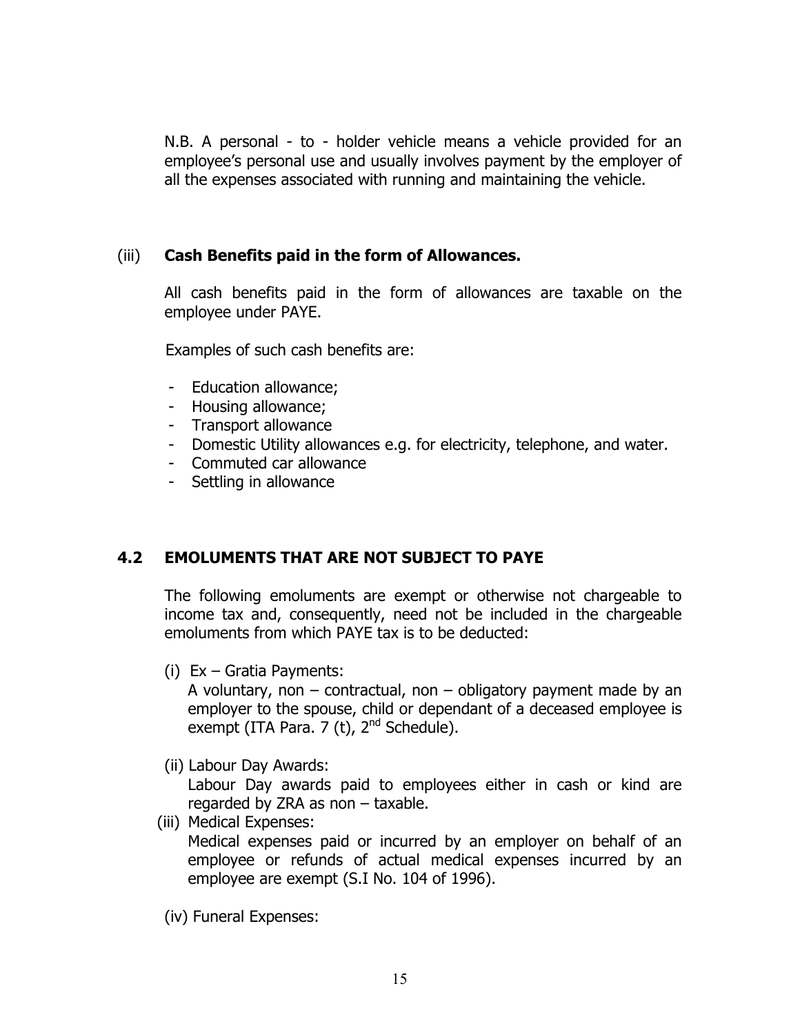N.B. A personal - to - holder vehicle means a vehicle provided for an employee's personal use and usually involves payment by the employer of all the expenses associated with running and maintaining the vehicle.

#### (iii) **Cash Benefits paid in the form of Allowances.**

All cash benefits paid in the form of allowances are taxable on the employee under PAYE.

Examples of such cash benefits are:

- Education allowance;
- Housing allowance;
- Transport allowance
- Domestic Utility allowances e.g. for electricity, telephone, and water.
- Commuted car allowance
- Settling in allowance

## **4.2 EMOLUMENTS THAT ARE NOT SUBJECT TO PAYE**

The following emoluments are exempt or otherwise not chargeable to income tax and, consequently, need not be included in the chargeable emoluments from which PAYE tax is to be deducted:

(i) Ex – Gratia Payments:

A voluntary, non  $-$  contractual, non  $-$  obligatory payment made by an employer to the spouse, child or dependant of a deceased employee is exempt (ITA Para. 7 (t), 2<sup>nd</sup> Schedule).

(ii) Labour Day Awards:

Labour Day awards paid to employees either in cash or kind are regarded by ZRA as non – taxable.

(iii) Medical Expenses:

Medical expenses paid or incurred by an employer on behalf of an employee or refunds of actual medical expenses incurred by an employee are exempt (S.I No. 104 of 1996).

(iv) Funeral Expenses: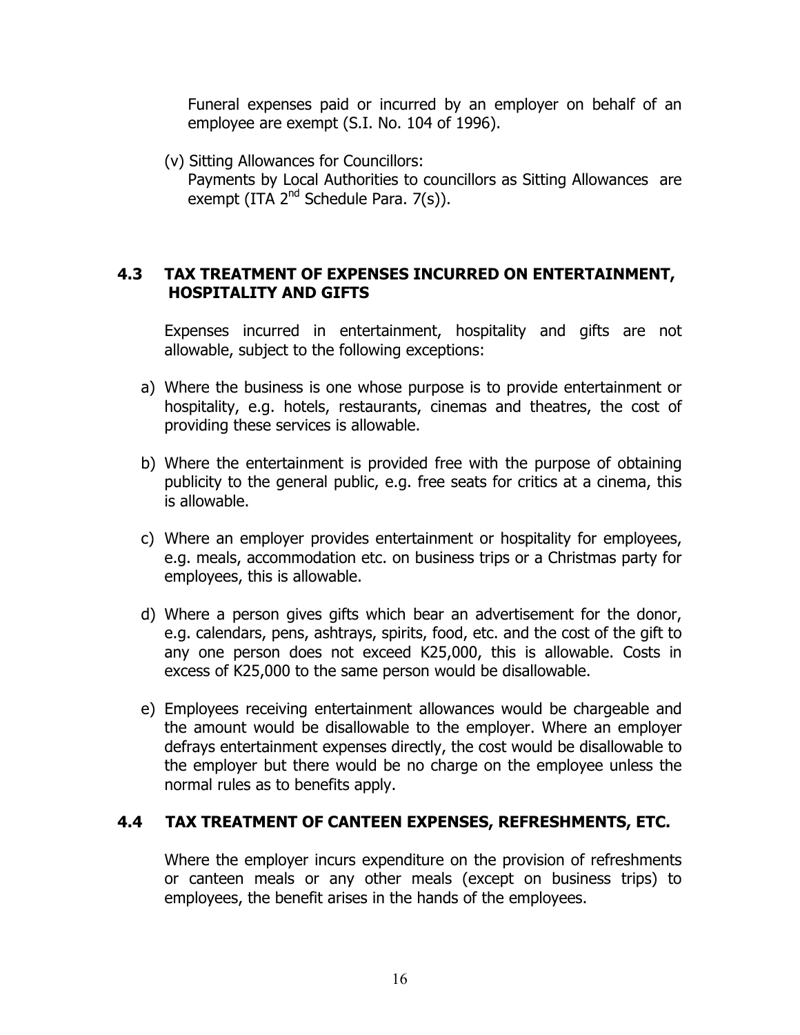Funeral expenses paid or incurred by an employer on behalf of an employee are exempt (S.I. No. 104 of 1996).

(v) Sitting Allowances for Councillors: Payments by Local Authorities to councillors as Sitting Allowances are exempt (ITA  $2^{nd}$  Schedule Para. 7(s)).

## **4.3 TAX TREATMENT OF EXPENSES INCURRED ON ENTERTAINMENT, HOSPITALITY AND GIFTS**

Expenses incurred in entertainment, hospitality and gifts are not allowable, subject to the following exceptions:

- a) Where the business is one whose purpose is to provide entertainment or hospitality, e.g. hotels, restaurants, cinemas and theatres, the cost of providing these services is allowable.
- b) Where the entertainment is provided free with the purpose of obtaining publicity to the general public, e.g. free seats for critics at a cinema, this is allowable.
- c) Where an employer provides entertainment or hospitality for employees, e.g. meals, accommodation etc. on business trips or a Christmas party for employees, this is allowable.
- d) Where a person gives gifts which bear an advertisement for the donor, e.g. calendars, pens, ashtrays, spirits, food, etc. and the cost of the gift to any one person does not exceed K25,000, this is allowable. Costs in excess of K25,000 to the same person would be disallowable.
- e) Employees receiving entertainment allowances would be chargeable and the amount would be disallowable to the employer. Where an employer defrays entertainment expenses directly, the cost would be disallowable to the employer but there would be no charge on the employee unless the normal rules as to benefits apply.

## **4.4 TAX TREATMENT OF CANTEEN EXPENSES, REFRESHMENTS, ETC.**

Where the employer incurs expenditure on the provision of refreshments or canteen meals or any other meals (except on business trips) to employees, the benefit arises in the hands of the employees.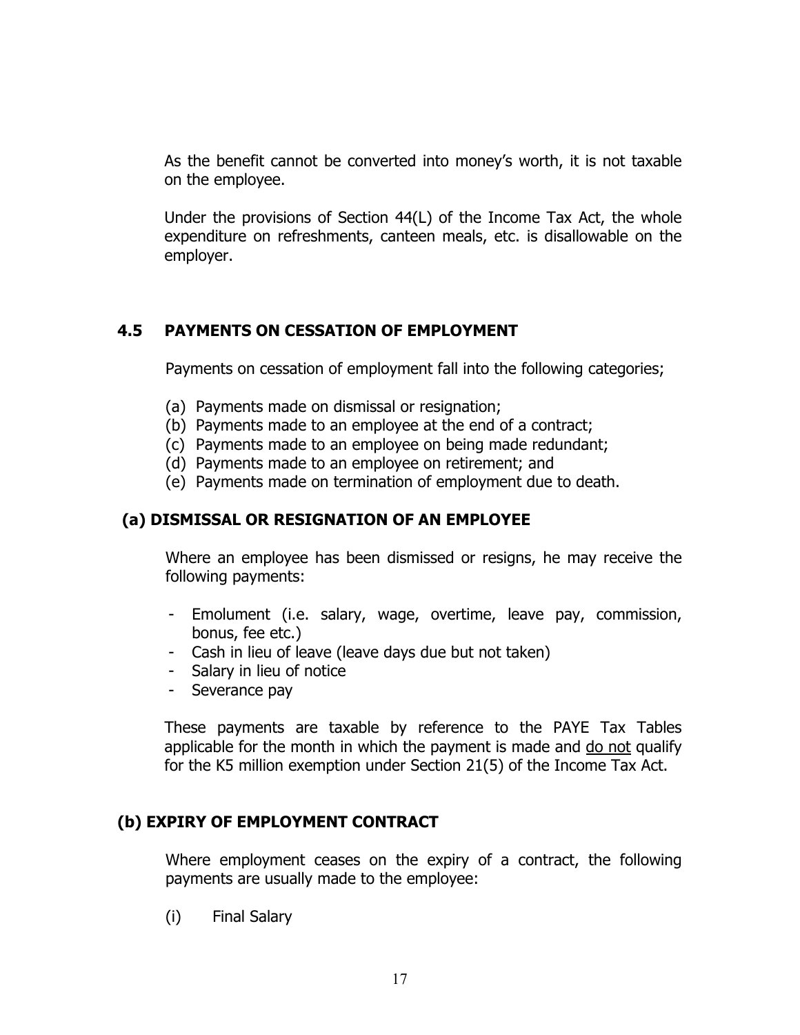As the benefit cannot be converted into money's worth, it is not taxable on the employee.

Under the provisions of Section 44(L) of the Income Tax Act, the whole expenditure on refreshments, canteen meals, etc. is disallowable on the employer.

## **4.5 PAYMENTS ON CESSATION OF EMPLOYMENT**

Payments on cessation of employment fall into the following categories;

- (a) Payments made on dismissal or resignation;
- (b) Payments made to an employee at the end of a contract;
- (c) Payments made to an employee on being made redundant;
- (d) Payments made to an employee on retirement; and
- (e) Payments made on termination of employment due to death.

## **(a) DISMISSAL OR RESIGNATION OF AN EMPLOYEE**

Where an employee has been dismissed or resigns, he may receive the following payments:

- Emolument (i.e. salary, wage, overtime, leave pay, commission, bonus, fee etc.)
- Cash in lieu of leave (leave days due but not taken)
- Salary in lieu of notice
- Severance pay

These payments are taxable by reference to the PAYE Tax Tables applicable for the month in which the payment is made and <u>do not</u> qualify for the K5 million exemption under Section 21(5) of the Income Tax Act.

## **(b) EXPIRY OF EMPLOYMENT CONTRACT**

Where employment ceases on the expiry of a contract, the following payments are usually made to the employee:

(i) Final Salary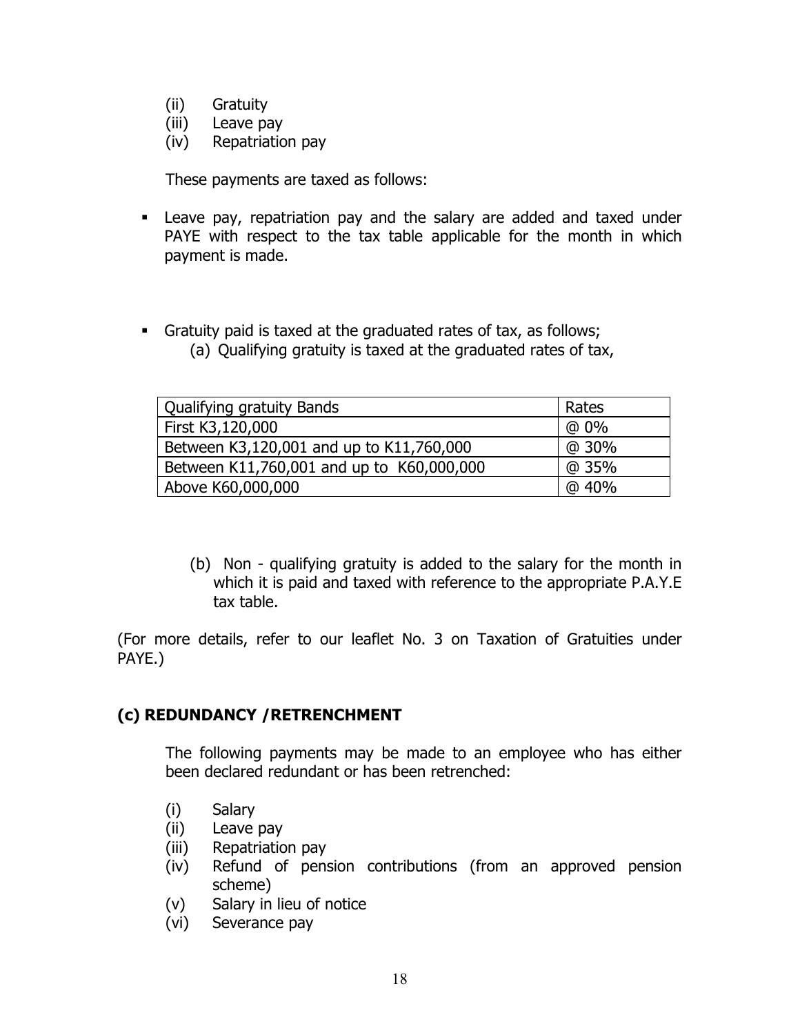- (ii) Gratuity
- (iii) Leave pay
- (iv) Repatriation pay

These payments are taxed as follows:

- Leave pay, repatriation pay and the salary are added and taxed under PAYE with respect to the tax table applicable for the month in which payment is made.
- Gratuity paid is taxed at the graduated rates of tax, as follows; (a) Qualifying gratuity is taxed at the graduated rates of tax,

| Qualifying gratuity Bands                 | Rates |
|-------------------------------------------|-------|
| First K3,120,000                          | @ 0%  |
| Between K3,120,001 and up to K11,760,000  | @ 30% |
| Between K11,760,001 and up to K60,000,000 | @ 35% |
| Above K60,000,000                         | @40%  |

(b) Non - qualifying gratuity is added to the salary for the month in which it is paid and taxed with reference to the appropriate P.A.Y.E tax table.

(For more details, refer to our leaflet No. 3 on Taxation of Gratuities under PAYE.)

#### **(c) REDUNDANCY /RETRENCHMENT**

The following payments may be made to an employee who has either been declared redundant or has been retrenched:

- (i) Salary
- (ii) Leave pay
- (iii) Repatriation pay
- (iv) Refund of pension contributions (from an approved pension scheme)
- (v) Salary in lieu of notice
- (vi) Severance pay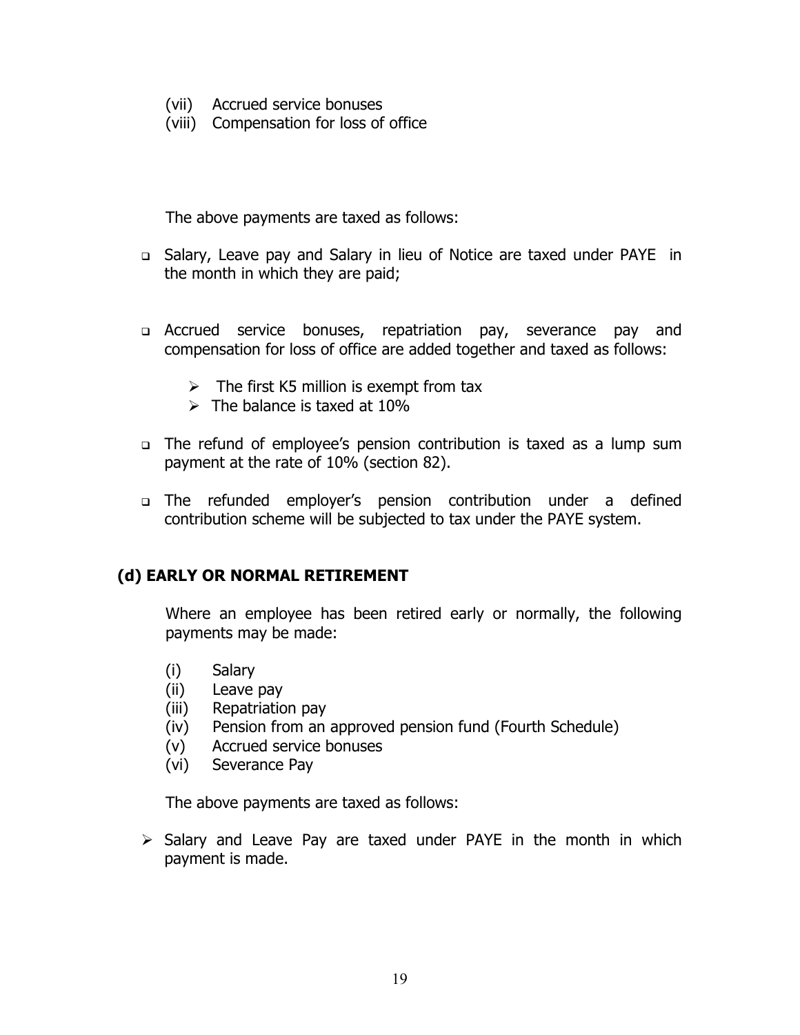- (vii) Accrued service bonuses
- (viii) Compensation for loss of office

The above payments are taxed as follows:

- □ Salary, Leave pay and Salary in lieu of Notice are taxed under PAYE in the month in which they are paid;
- Accrued service bonuses, repatriation pay, severance pay and compensation for loss of office are added together and taxed as follows:
	- $\triangleright$  The first K5 million is exempt from tax
	- $\triangleright$  The balance is taxed at 10%
- The refund of employee's pension contribution is taxed as a lump sum payment at the rate of 10% (section 82).
- The refunded employer's pension contribution under a defined contribution scheme will be subjected to tax under the PAYE system.

## **(d) EARLY OR NORMAL RETIREMENT**

Where an employee has been retired early or normally, the following payments may be made:

- (i) Salary
- (ii) Leave pay
- (iii) Repatriation pay
- (iv) Pension from an approved pension fund (Fourth Schedule)
- (v) Accrued service bonuses
- (vi) Severance Pay

The above payments are taxed as follows:

 $\triangleright$  Salary and Leave Pay are taxed under PAYE in the month in which payment is made.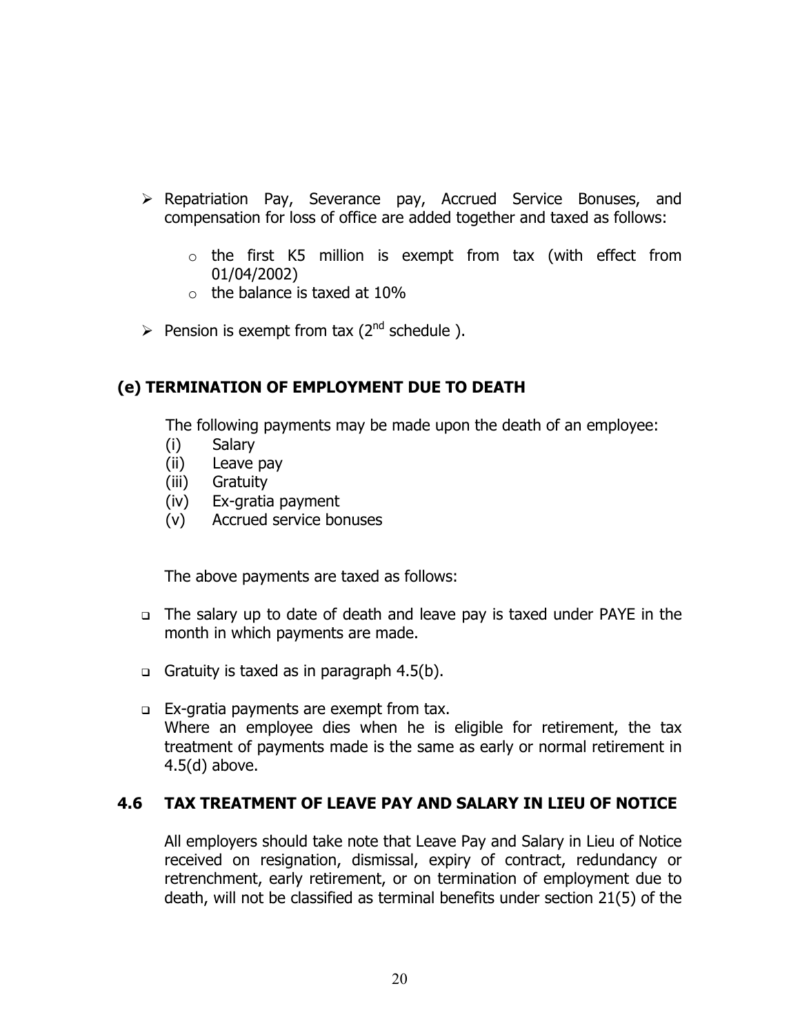- ¾ Repatriation Pay, Severance pay, Accrued Service Bonuses, and compensation for loss of office are added together and taxed as follows:
	- $\circ$  the first K5 million is exempt from tax (with effect from 01/04/2002)
	- $\circ$  the balance is taxed at 10%
- $\triangleright$  Pension is exempt from tax (2<sup>nd</sup> schedule).

## **(e) TERMINATION OF EMPLOYMENT DUE TO DEATH**

The following payments may be made upon the death of an employee:

- (i) Salary
- (ii) Leave pay
- (iii) Gratuity
- (iv) Ex-gratia payment
- (v) Accrued service bonuses

The above payments are taxed as follows:

- The salary up to date of death and leave pay is taxed under PAYE in the month in which payments are made.
- Gratuity is taxed as in paragraph  $4.5(b)$ .
- Ex-gratia payments are exempt from tax. Where an employee dies when he is eligible for retirement, the tax treatment of payments made is the same as early or normal retirement in 4.5(d) above.

## **4.6 TAX TREATMENT OF LEAVE PAY AND SALARY IN LIEU OF NOTICE**

All employers should take note that Leave Pay and Salary in Lieu of Notice received on resignation, dismissal, expiry of contract, redundancy or retrenchment, early retirement, or on termination of employment due to death, will not be classified as terminal benefits under section 21(5) of the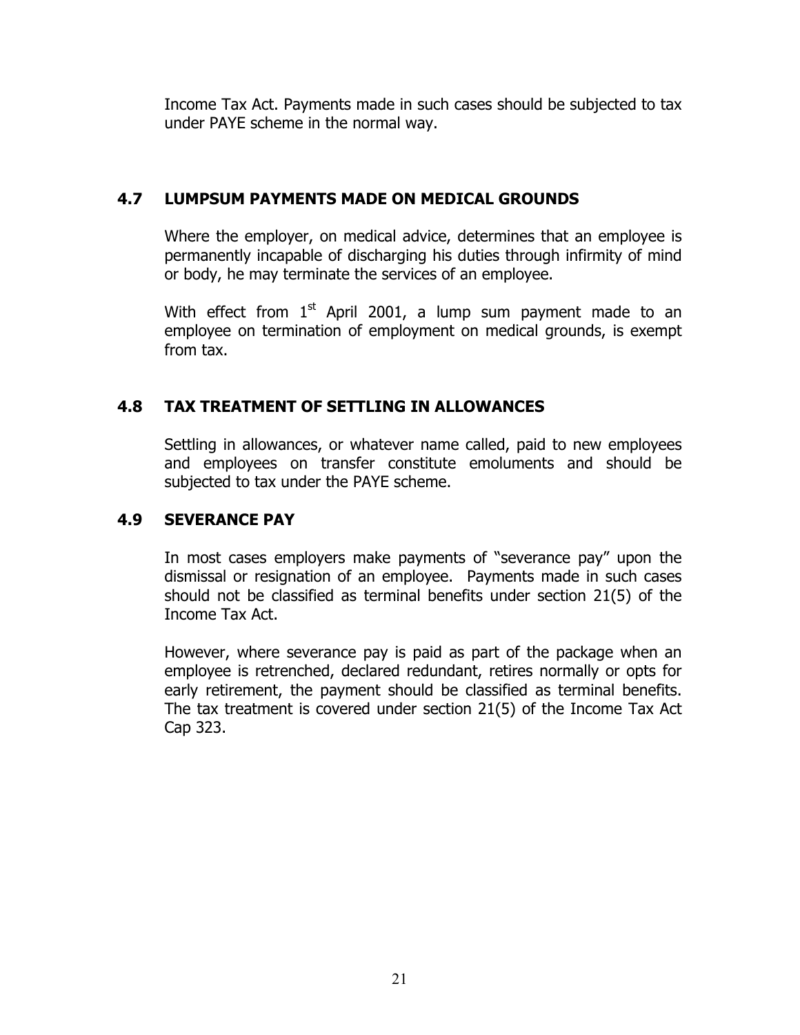Income Tax Act. Payments made in such cases should be subjected to tax under PAYE scheme in the normal way.

## **4.7 LUMPSUM PAYMENTS MADE ON MEDICAL GROUNDS**

Where the employer, on medical advice, determines that an employee is permanently incapable of discharging his duties through infirmity of mind or body, he may terminate the services of an employee.

With effect from  $1<sup>st</sup>$  April 2001, a lump sum payment made to an employee on termination of employment on medical grounds, is exempt from tax.

## **4.8 TAX TREATMENT OF SETTLING IN ALLOWANCES**

Settling in allowances, or whatever name called, paid to new employees and employees on transfer constitute emoluments and should be subjected to tax under the PAYE scheme.

## **4.9 SEVERANCE PAY**

In most cases employers make payments of "severance pay" upon the dismissal or resignation of an employee. Payments made in such cases should not be classified as terminal benefits under section 21(5) of the Income Tax Act.

However, where severance pay is paid as part of the package when an employee is retrenched, declared redundant, retires normally or opts for early retirement, the payment should be classified as terminal benefits. The tax treatment is covered under section 21(5) of the Income Tax Act Cap 323.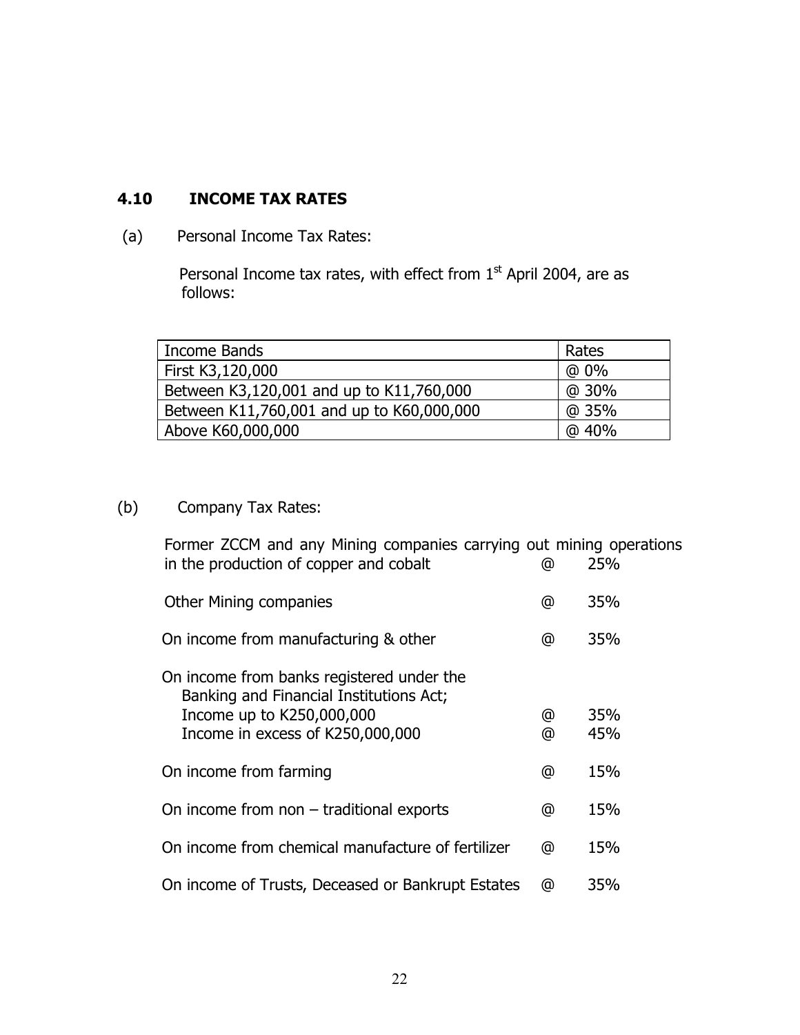# **4.10 INCOME TAX RATES**

(a) Personal Income Tax Rates:

Personal Income tax rates, with effect from  $1<sup>st</sup>$  April 2004, are as follows:

| Income Bands                              | Rates  |
|-------------------------------------------|--------|
| First K3,120,000                          | $@0\%$ |
| Between K3,120,001 and up to K11,760,000  | @ 30%  |
| Between K11,760,001 and up to K60,000,000 | @ 35%  |
| Above K60,000,000                         | @ 40%  |

# (b) Company Tax Rates:

| Former ZCCM and any Mining companies carrying out mining operations<br>in the production of copper and cobalt                                         | @      | 25%        |
|-------------------------------------------------------------------------------------------------------------------------------------------------------|--------|------------|
| <b>Other Mining companies</b>                                                                                                                         | @      | 35%        |
| On income from manufacturing & other                                                                                                                  | @      | 35%        |
| On income from banks registered under the<br>Banking and Financial Institutions Act;<br>Income up to K250,000,000<br>Income in excess of K250,000,000 | @<br>@ | 35%<br>45% |
| On income from farming                                                                                                                                | @      | 15%        |
| On income from non $-$ traditional exports                                                                                                            | @      | 15%        |
| On income from chemical manufacture of fertilizer                                                                                                     | @      | 15%        |
| On income of Trusts, Deceased or Bankrupt Estates                                                                                                     | ര      | 35%        |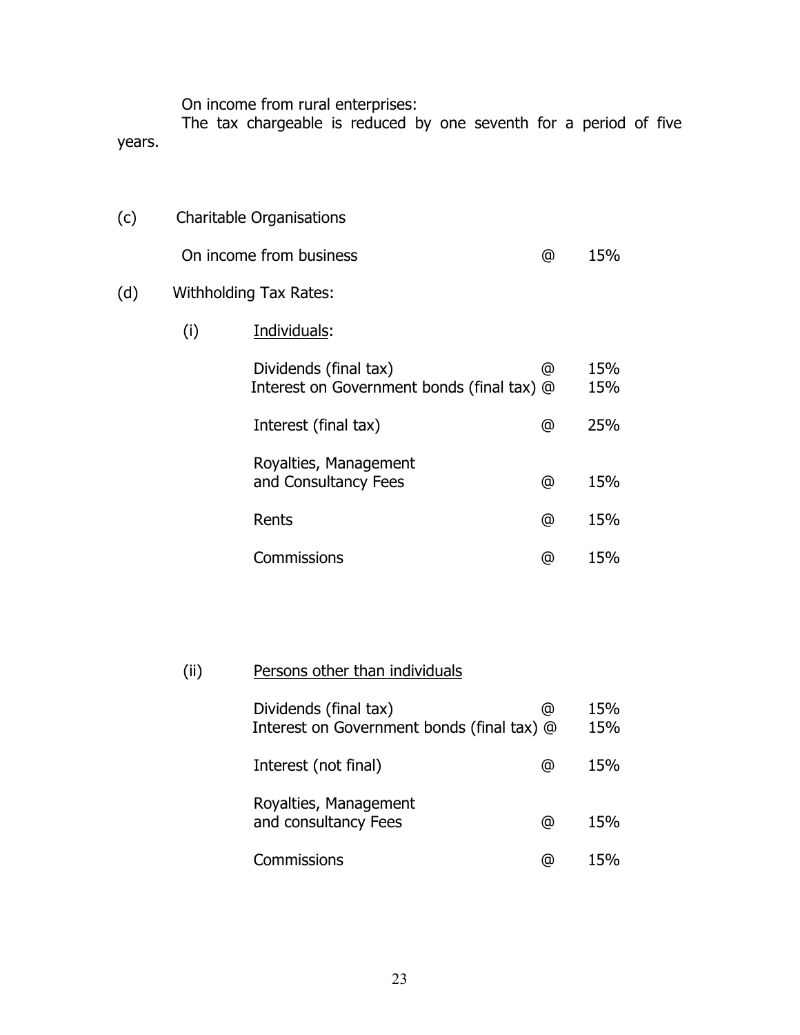On income from rural enterprises:

 The tax chargeable is reduced by one seventh for a period of five years.

(c) Charitable Organisations On income from business and the control of the 15%

## (d) Withholding Tax Rates:

(i) Individuals:

| Dividends (final tax)<br>Interest on Government bonds (final tax) @ | ω | 15%<br>15% |
|---------------------------------------------------------------------|---|------------|
| Interest (final tax)                                                | @ | 25%        |
| Royalties, Management<br>and Consultancy Fees                       | ω | 15%        |
| Rents                                                               | @ | 15%        |
| Commissions                                                         | ω | 15%        |

# (ii) Persons other than individuals

| Dividends (final tax)<br>Interest on Government bonds (final tax) @ | ω   | 15%<br>15% |
|---------------------------------------------------------------------|-----|------------|
| Interest (not final)                                                | ω   | 15%        |
| Royalties, Management<br>and consultancy Fees                       | ω   | 15%        |
| Commissions                                                         | (a) |            |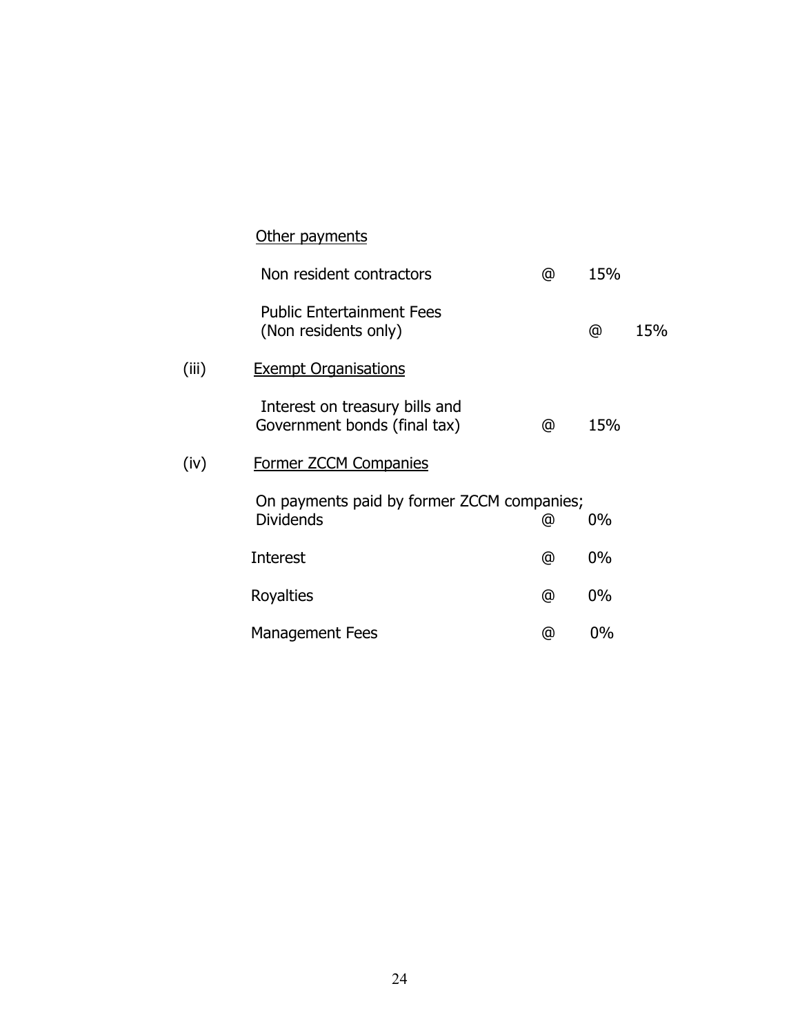|       | <u>Other payments</u>                                          |            |       |     |
|-------|----------------------------------------------------------------|------------|-------|-----|
|       | Non resident contractors                                       | @          | 15%   |     |
|       | <b>Public Entertainment Fees</b><br>(Non residents only)       |            | @     | 15% |
| (iii) | <b>Exempt Organisations</b>                                    |            |       |     |
|       | Interest on treasury bills and<br>Government bonds (final tax) | @          | 15%   |     |
| (iv)  | Former ZCCM Companies                                          |            |       |     |
|       | On payments paid by former ZCCM companies;<br><b>Dividends</b> | @          | $0\%$ |     |
|       | Interest                                                       | $^{\circ}$ | $0\%$ |     |
|       | Royalties                                                      | @          | $0\%$ |     |
|       | <b>Management Fees</b>                                         | @          | 0%    |     |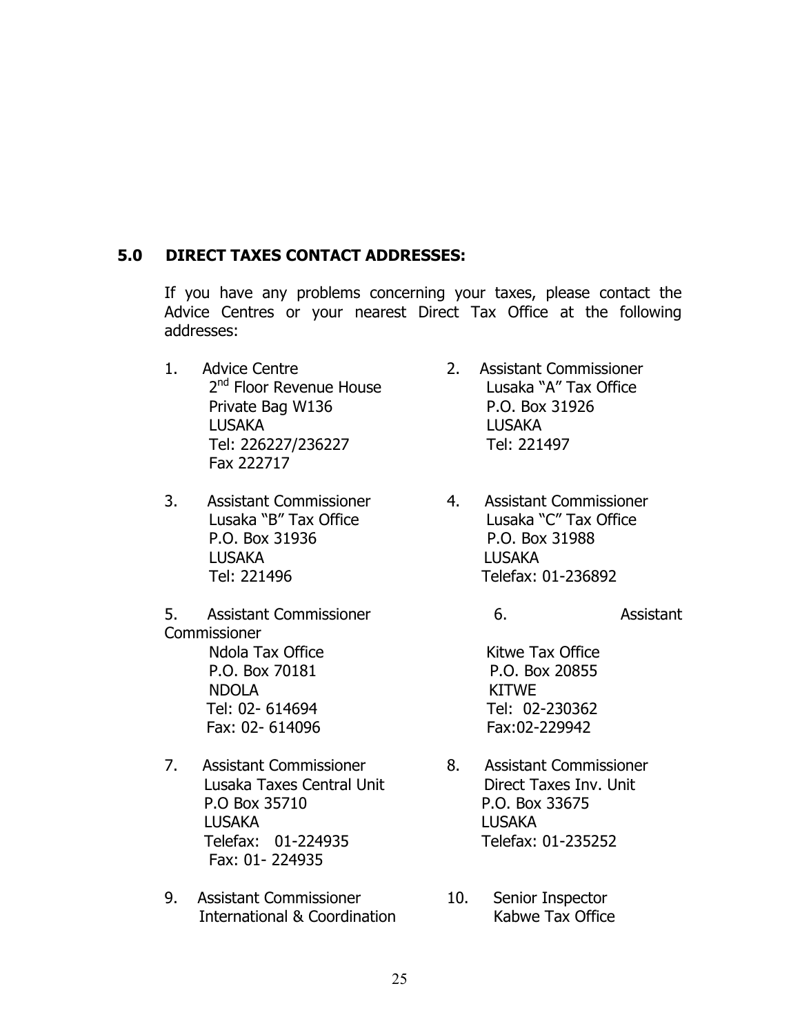#### **5.0 DIRECT TAXES CONTACT ADDRESSES:**

If you have any problems concerning your taxes, please contact the Advice Centres or your nearest Direct Tax Office at the following addresses:

- 1. Advice Centre 2. Assistant Commissioner Private Bag W136 P.O. Box 31926 LUSAKA LUSAKA Tel: 226227/236227 Tel: 221497 Fax 222717
- 3. Assistant Commissioner 4. Assistant Commissioner P.O. Box 31936 P.O. Box 31988 LUSAKA LUSAKA
- 5. Assistant Commissioner 6. Assistant **Commissioner** Ndola Tax Office **Kitwe Tax Office**  P.O. Box 70181 P.O. Box 20855 NDOLA KITWE Tel: 02- 614694 Tel: 02-230362 Fax: 02- 614096 Fax:02-229942
- 7. Assistant Commissioner 8. Assistant Commissioner P.O Box 35710 P.O. Box 33675 LUSAKA LUSAKA Telefax: 01-224935 Telefax: 01-235252 Fax: 01- 224935
- 9. Assistant Commissioner 10. Senior Inspector International & Coordination The Kabwe Tax Office
- 2<sup>nd</sup> Floor Revenue House Lusaka "A" Tax Office
- Lusaka "B" Tax Office Lusaka "C" Tax Office Tel: 221496 Telefax: 01-236892

- Lusaka Taxes Central Unit **Direct Taxes Inv. Unit** 
	-